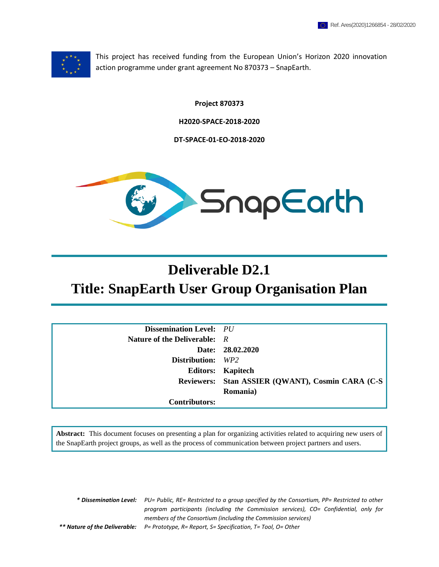

This project has received funding from the European Union's Horizon 2020 innovation action programme under grant agreement No 870373 – SnapEarth.

**Project 870373**

**H2020-SPACE-2018-2020**

**DT-SPACE-01-EO-2018-2020**



# **Deliverable D2.1 Title: SnapEarth User Group Organisation Plan**

| <b>Dissemination Level:</b> PU |                                                  |
|--------------------------------|--------------------------------------------------|
| Nature of the Deliverable: $R$ |                                                  |
|                                | Date: 28.02.2020                                 |
| <b>Distribution:</b> WP2       |                                                  |
|                                | <b>Editors:</b> Kapitech                         |
|                                | Reviewers: Stan ASSIER (QWANT), Cosmin CARA (C-S |
|                                | Romania)                                         |
| <b>Contributors:</b>           |                                                  |

**Abstract:** This document focuses on presenting a plan for organizing activities related to acquiring new users of the SnapEarth project groups, as well as the process of communication between project partners and users.

*\* Dissemination Level: PU= Public, RE= Restricted to a group specified by the Consortium, PP= Restricted to other program participants (including the Commission services), CO= Confidential, only for members of the Consortium (including the Commission services) \*\* Nature of the Deliverable: P= Prototype, R= Report, S= Specification, T= Tool, O= Other*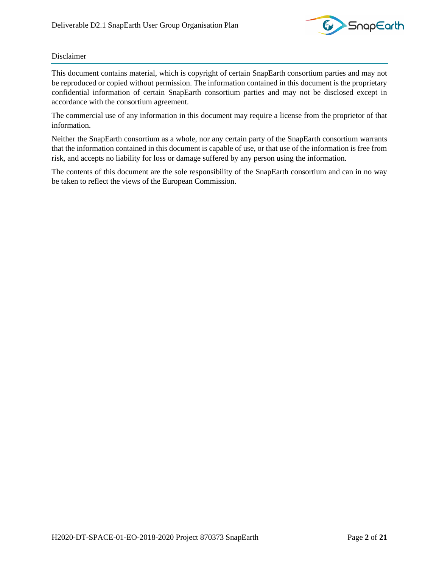

#### Disclaimer

This document contains material, which is copyright of certain SnapEarth consortium parties and may not be reproduced or copied without permission. The information contained in this document is the proprietary confidential information of certain SnapEarth consortium parties and may not be disclosed except in accordance with the consortium agreement.

The commercial use of any information in this document may require a license from the proprietor of that information.

Neither the SnapEarth consortium as a whole, nor any certain party of the SnapEarth consortium warrants that the information contained in this document is capable of use, or that use of the information is free from risk, and accepts no liability for loss or damage suffered by any person using the information.

The contents of this document are the sole responsibility of the SnapEarth consortium and can in no way be taken to reflect the views of the European Commission.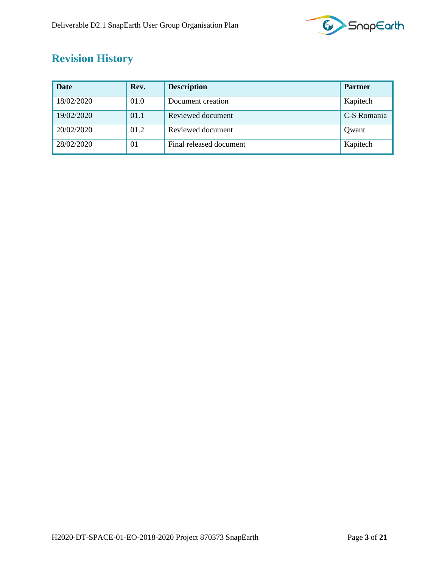

## <span id="page-2-0"></span>**Revision History**

| <b>Date</b> | Rev. | <b>Description</b>      | <b>Partner</b> |
|-------------|------|-------------------------|----------------|
| 18/02/2020  | 01.0 | Document creation       | Kapitech       |
| 19/02/2020  | 01.1 | Reviewed document       | C-S Romania    |
| 20/02/2020  | 01.2 | Reviewed document       | Owant          |
| 28/02/2020  | 01   | Final released document | Kapitech       |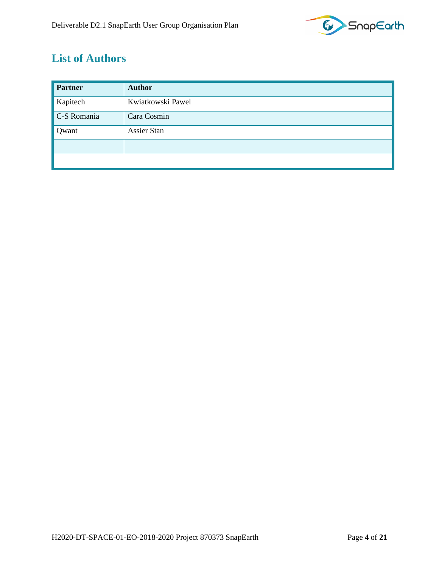

## <span id="page-3-0"></span>**List of Authors**

| <b>Partner</b> | <b>Author</b>      |
|----------------|--------------------|
| Kapitech       | Kwiatkowski Pawel  |
| C-S Romania    | Cara Cosmin        |
| Qwant          | <b>Assier Stan</b> |
|                |                    |
|                |                    |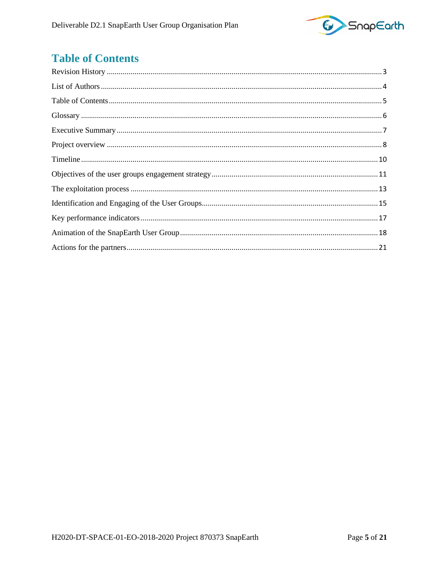

## <span id="page-4-0"></span>**Table of Contents**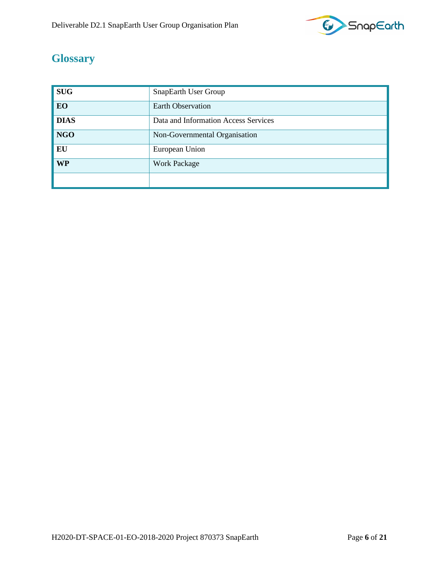

## <span id="page-5-0"></span>**Glossary**

| <b>SUG</b>  | SnapEarth User Group                 |
|-------------|--------------------------------------|
| EO          | <b>Earth Observation</b>             |
| <b>DIAS</b> | Data and Information Access Services |
| <b>NGO</b>  | Non-Governmental Organisation        |
| EU          | European Union                       |
| <b>WP</b>   | <b>Work Package</b>                  |
|             |                                      |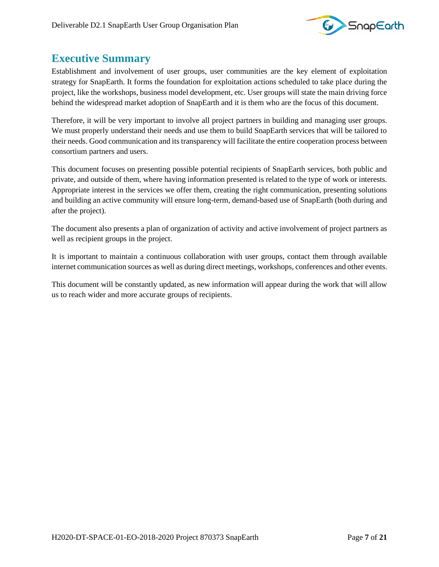

### <span id="page-6-0"></span>**Executive Summary**

Establishment and involvement of user groups, user communities are the key element of exploitation strategy for SnapEarth. It forms the foundation for exploitation actions scheduled to take place during the project, like the workshops, business model development, etc. User groups will state the main driving force behind the widespread market adoption of SnapEarth and it is them who are the focus of this document.

Therefore, it will be very important to involve all project partners in building and managing user groups. We must properly understand their needs and use them to build SnapEarth services that will be tailored to their needs. Good communication and its transparency will facilitate the entire cooperation process between consortium partners and users.

This document focuses on presenting possible potential recipients of SnapEarth services, both public and private, and outside of them, where having information presented is related to the type of work or interests. Appropriate interest in the services we offer them, creating the right communication, presenting solutions and building an active community will ensure long-term, demand-based use of SnapEarth (both during and after the project).

The document also presents a plan of organization of activity and active involvement of project partners as well as recipient groups in the project.

It is important to maintain a continuous collaboration with user groups, contact them through available internet communication sources as well as during direct meetings, workshops, conferences and other events.

This document will be constantly updated, as new information will appear during the work that will allow us to reach wider and more accurate groups of recipients.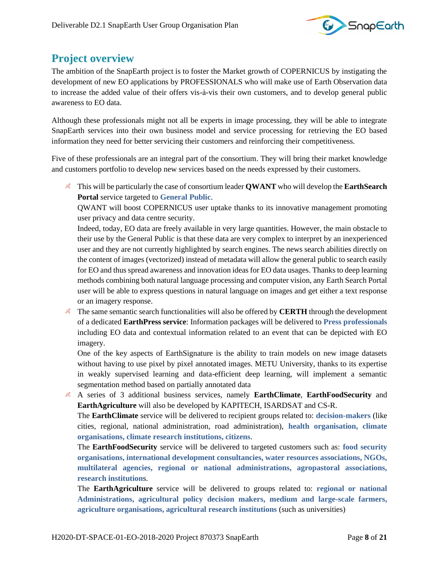

### <span id="page-7-0"></span>**Project overview**

The ambition of the SnapEarth project is to foster the Market growth of COPERNICUS by instigating the development of new EO applications by PROFESSIONALS who will make use of Earth Observation data to increase the added value of their offers vis-à-vis their own customers, and to develop general public awareness to EO data.

Although these professionals might not all be experts in image processing, they will be able to integrate SnapEarth services into their own business model and service processing for retrieving the EO based information they need for better servicing their customers and reinforcing their competitiveness.

Five of these professionals are an integral part of the consortium. They will bring their market knowledge and customers portfolio to develop new services based on the needs expressed by their customers.

This will be particularly the case of consortium leader **QWANT** who will develop the **EarthSearch Portal** service targeted to **General Public**.

QWANT will boost COPERNICUS user uptake thanks to its innovative management promoting user privacy and data centre security.

Indeed, today, EO data are freely available in very large quantities. However, the main obstacle to their use by the General Public is that these data are very complex to interpret by an inexperienced user and they are not currently highlighted by search engines. The news search abilities directly on the content of images (vectorized) instead of metadata will allow the general public to search easily for EO and thus spread awareness and innovation ideas for EO data usages. Thanks to deep learning methods combining both natural language processing and computer vision, any Earth Search Portal user will be able to express questions in natural language on images and get either a text response or an imagery response.

<sup>8</sup> The same semantic search functionalities will also be offered by **CERTH** through the development of a dedicated **EarthPress service**: Information packages will be delivered to **Press professionals** including EO data and contextual information related to an event that can be depicted with EO imagery.

One of the key aspects of EarthSignature is the ability to train models on new image datasets without having to use pixel by pixel annotated images. METU University, thanks to its expertise in weakly supervised learning and data-efficient deep learning, will implement a semantic segmentation method based on partially annotated data

A series of 3 additional business services, namely **EarthClimate**, **EarthFoodSecurity** and **EarthAgriculture** will also be developed by KAPITECH, ISARDSAT and CS-R.

The **EarthClimate** service will be delivered to recipient groups related to: **decision-makers** (like cities, regional, national administration, road administration), **health organisation, climate organisations, climate research institutions, citizens**.

The **EarthFoodSecurity** service will be delivered to targeted customers such as: **food security organisations, international development consultancies, water resources associations, NGOs, multilateral agencies, regional or national administrations, agropastoral associations, research institution**s.

The **EarthAgriculture** service will be delivered to groups related to: **regional or national Administrations, agricultural policy decision makers, medium and large-scale farmers, agriculture organisations, agricultural research institutions** (such as universities)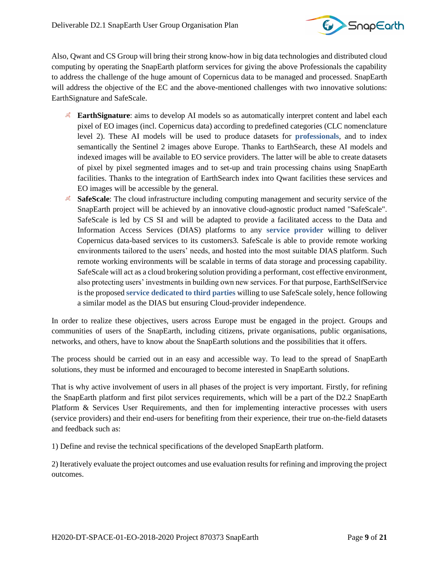

Also, Qwant and CS Group will bring their strong know-how in big data technologies and distributed cloud computing by operating the SnapEarth platform services for giving the above Professionals the capability to address the challenge of the huge amount of Copernicus data to be managed and processed. SnapEarth will address the objective of the EC and the above-mentioned challenges with two innovative solutions: EarthSignature and SafeScale.

- **EarthSignature:** aims to develop AI models so as automatically interpret content and label each pixel of EO images (incl. Copernicus data) according to predefined categories (CLC nomenclature level 2). These AI models will be used to produce datasets for **professionals**, and to index semantically the Sentinel 2 images above Europe. Thanks to EarthSearch, these AI models and indexed images will be available to EO service providers. The latter will be able to create datasets of pixel by pixel segmented images and to set-up and train processing chains using SnapEarth facilities. Thanks to the integration of EarthSearch index into Qwant facilities these services and EO images will be accessible by the general.
- **SafeScale**: The cloud infrastructure including computing management and security service of the SnapEarth project will be achieved by an innovative cloud-agnostic product named "SafeScale". SafeScale is led by CS SI and will be adapted to provide a facilitated access to the Data and Information Access Services (DIAS) platforms to any **service provider** willing to deliver Copernicus data-based services to its customers3. SafeScale is able to provide remote working environments tailored to the users' needs, and hosted into the most suitable DIAS platform. Such remote working environments will be scalable in terms of data storage and processing capability. SafeScale will act as a cloud brokering solution providing a performant, cost effective environment, also protecting users' investments in building own new services. For that purpose, EarthSelfService is the proposed **service dedicated to third parties** willing to use SafeScale solely, hence following a similar model as the DIAS but ensuring Cloud-provider independence.

In order to realize these objectives, users across Europe must be engaged in the project. Groups and communities of users of the SnapEarth, including citizens, private organisations, public organisations, networks, and others, have to know about the SnapEarth solutions and the possibilities that it offers.

The process should be carried out in an easy and accessible way. To lead to the spread of SnapEarth solutions, they must be informed and encouraged to become interested in SnapEarth solutions.

That is why active involvement of users in all phases of the project is very important. Firstly, for refining the SnapEarth platform and first pilot services requirements, which will be a part of the D2.2 SnapEarth Platform & Services User Requirements, and then for implementing interactive processes with users (service providers) and their end-users for benefiting from their experience, their true on-the-field datasets and feedback such as:

1) Define and revise the technical specifications of the developed SnapEarth platform.

2) Iteratively evaluate the project outcomes and use evaluation results for refining and improving the project outcomes.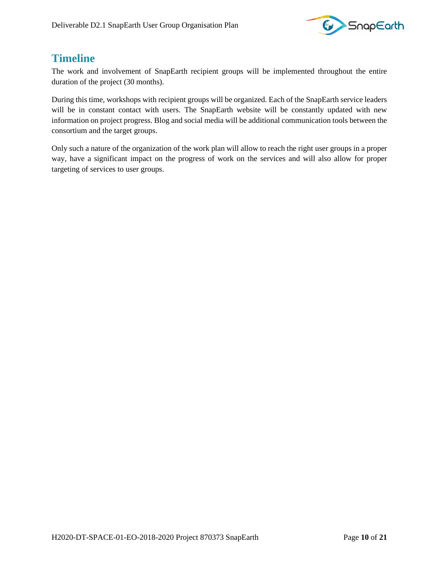

### <span id="page-9-0"></span>**Timeline**

The work and involvement of SnapEarth recipient groups will be implemented throughout the entire duration of the project (30 months).

During this time, workshops with recipient groups will be organized. Each of the SnapEarth service leaders will be in constant contact with users. The SnapEarth website will be constantly updated with new information on project progress. Blog and social media will be additional communication tools between the consortium and the target groups.

Only such a nature of the organization of the work plan will allow to reach the right user groups in a proper way, have a significant impact on the progress of work on the services and will also allow for proper targeting of services to user groups.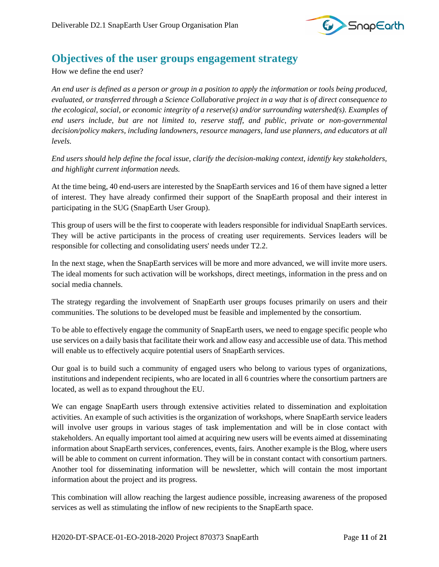

#### <span id="page-10-0"></span>**Objectives of the user groups engagement strategy**

How we define the end user?

*An end user is defined as a person or group in a position to apply the information or tools being produced, evaluated, or transferred through a Science Collaborative project in a way that is of direct consequence to the ecological, social, or economic integrity of a reserve(s) and/or surrounding watershed(s). Examples of end users include, but are not limited to, reserve staff, and public, private or non-governmental decision/policy makers, including landowners, resource managers, land use planners, and educators at all levels.*

*End users should help define the focal issue, clarify the decision-making context, identify key stakeholders, and highlight current information needs.*

At the time being, 40 end-users are interested by the SnapEarth services and 16 of them have signed a letter of interest. They have already confirmed their support of the SnapEarth proposal and their interest in participating in the SUG (SnapEarth User Group).

This group of users will be the first to cooperate with leaders responsible for individual SnapEarth services. They will be active participants in the process of creating user requirements. Services leaders will be responsible for collecting and consolidating users' needs under T2.2.

In the next stage, when the SnapEarth services will be more and more advanced, we will invite more users. The ideal moments for such activation will be workshops, direct meetings, information in the press and on social media channels.

The strategy regarding the involvement of SnapEarth user groups focuses primarily on users and their communities. The solutions to be developed must be feasible and implemented by the consortium.

To be able to effectively engage the community of SnapEarth users, we need to engage specific people who use services on a daily basis that facilitate their work and allow easy and accessible use of data. This method will enable us to effectively acquire potential users of SnapEarth services.

Our goal is to build such a community of engaged users who belong to various types of organizations, institutions and independent recipients, who are located in all 6 countries where the consortium partners are located, as well as to expand throughout the EU.

We can engage SnapEarth users through extensive activities related to dissemination and exploitation activities. An example of such activities is the organization of workshops, where SnapEarth service leaders will involve user groups in various stages of task implementation and will be in close contact with stakeholders. An equally important tool aimed at acquiring new users will be events aimed at disseminating information about SnapEarth services, conferences, events, fairs. Another example is the Blog, where users will be able to comment on current information. They will be in constant contact with consortium partners. Another tool for disseminating information will be newsletter, which will contain the most important information about the project and its progress.

This combination will allow reaching the largest audience possible, increasing awareness of the proposed services as well as stimulating the inflow of new recipients to the SnapEarth space.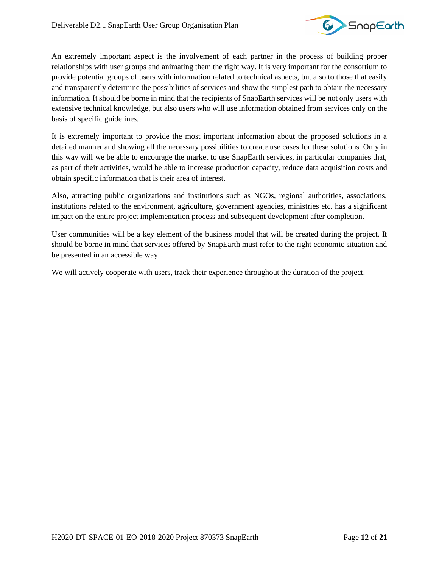

An extremely important aspect is the involvement of each partner in the process of building proper relationships with user groups and animating them the right way. It is very important for the consortium to provide potential groups of users with information related to technical aspects, but also to those that easily and transparently determine the possibilities of services and show the simplest path to obtain the necessary information. It should be borne in mind that the recipients of SnapEarth services will be not only users with extensive technical knowledge, but also users who will use information obtained from services only on the basis of specific guidelines.

It is extremely important to provide the most important information about the proposed solutions in a detailed manner and showing all the necessary possibilities to create use cases for these solutions. Only in this way will we be able to encourage the market to use SnapEarth services, in particular companies that, as part of their activities, would be able to increase production capacity, reduce data acquisition costs and obtain specific information that is their area of interest.

Also, attracting public organizations and institutions such as NGOs, regional authorities, associations, institutions related to the environment, agriculture, government agencies, ministries etc. has a significant impact on the entire project implementation process and subsequent development after completion.

User communities will be a key element of the business model that will be created during the project. It should be borne in mind that services offered by SnapEarth must refer to the right economic situation and be presented in an accessible way.

We will actively cooperate with users, track their experience throughout the duration of the project.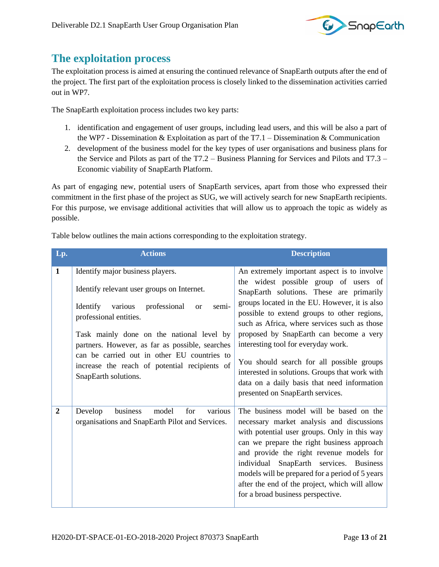

#### <span id="page-12-0"></span>**The exploitation process**

The exploitation process is aimed at ensuring the continued relevance of SnapEarth outputs after the end of the project. The first part of the exploitation process is closely linked to the dissemination activities carried out in WP7.

The SnapEarth exploitation process includes two key parts:

- 1. identification and engagement of user groups, including lead users, and this will be also a part of the WP7 - Dissemination & Exploitation as part of the T7.1 – Dissemination & Communication
- 2. development of the business model for the key types of user organisations and business plans for the Service and Pilots as part of the T7.2 – Business Planning for Services and Pilots and T7.3 – Economic viability of SnapEarth Platform.

As part of engaging new, potential users of SnapEarth services, apart from those who expressed their commitment in the first phase of the project as SUG, we will actively search for new SnapEarth recipients. For this purpose, we envisage additional activities that will allow us to approach the topic as widely as possible.

| Lp.            | <b>Actions</b>                                                                                                                                                                                                                                                                                                                                                                                    | <b>Description</b>                                                                                                                                                                                                                                                                                                                                                                                                                                                                                                                                   |
|----------------|---------------------------------------------------------------------------------------------------------------------------------------------------------------------------------------------------------------------------------------------------------------------------------------------------------------------------------------------------------------------------------------------------|------------------------------------------------------------------------------------------------------------------------------------------------------------------------------------------------------------------------------------------------------------------------------------------------------------------------------------------------------------------------------------------------------------------------------------------------------------------------------------------------------------------------------------------------------|
| $\mathbf{1}$   | Identify major business players.<br>Identify relevant user groups on Internet.<br>Identify<br>various<br>professional<br>semi-<br><sub>or</sub><br>professional entities.<br>Task mainly done on the national level by<br>partners. However, as far as possible, searches<br>can be carried out in other EU countries to<br>increase the reach of potential recipients of<br>SnapEarth solutions. | An extremely important aspect is to involve<br>the widest possible group of users of<br>SnapEarth solutions. These are primarily<br>groups located in the EU. However, it is also<br>possible to extend groups to other regions,<br>such as Africa, where services such as those<br>proposed by SnapEarth can become a very<br>interesting tool for everyday work.<br>You should search for all possible groups<br>interested in solutions. Groups that work with<br>data on a daily basis that need information<br>presented on SnapEarth services. |
| $\overline{2}$ | business<br>various<br>for<br>model<br>Develop<br>organisations and SnapEarth Pilot and Services.                                                                                                                                                                                                                                                                                                 | The business model will be based on the<br>necessary market analysis and discussions<br>with potential user groups. Only in this way<br>can we prepare the right business approach<br>and provide the right revenue models for<br>individual SnapEarth services. Business<br>models will be prepared for a period of 5 years<br>after the end of the project, which will allow<br>for a broad business perspective.                                                                                                                                  |

Table below outlines the main actions corresponding to the exploitation strategy.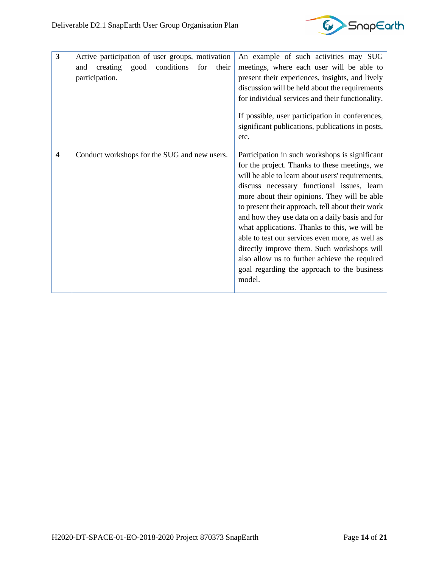

| 3                       | Active participation of user groups, motivation<br>conditions<br>creating<br>good<br>for<br>their<br>and<br>participation. | An example of such activities may SUG<br>meetings, where each user will be able to<br>present their experiences, insights, and lively<br>discussion will be held about the requirements<br>for individual services and their functionality.<br>If possible, user participation in conferences,<br>significant publications, publications in posts,<br>etc.                                                                                                                                                                                                                                                          |
|-------------------------|----------------------------------------------------------------------------------------------------------------------------|---------------------------------------------------------------------------------------------------------------------------------------------------------------------------------------------------------------------------------------------------------------------------------------------------------------------------------------------------------------------------------------------------------------------------------------------------------------------------------------------------------------------------------------------------------------------------------------------------------------------|
| $\overline{\mathbf{4}}$ | Conduct workshops for the SUG and new users.                                                                               | Participation in such workshops is significant<br>for the project. Thanks to these meetings, we<br>will be able to learn about users' requirements,<br>discuss necessary functional issues, learn<br>more about their opinions. They will be able<br>to present their approach, tell about their work<br>and how they use data on a daily basis and for<br>what applications. Thanks to this, we will be<br>able to test our services even more, as well as<br>directly improve them. Such workshops will<br>also allow us to further achieve the required<br>goal regarding the approach to the business<br>model. |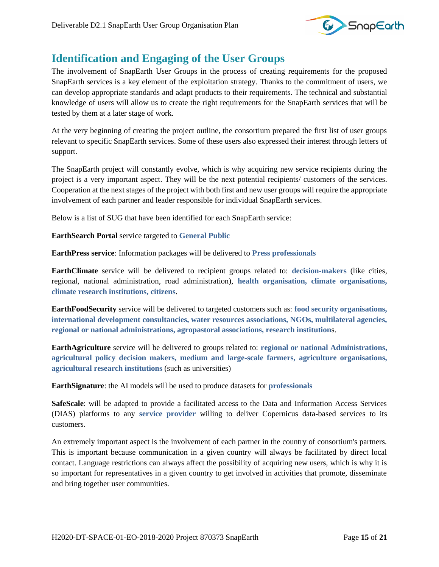

### <span id="page-14-0"></span>**Identification and Engaging of the User Groups**

The involvement of SnapEarth User Groups in the process of creating requirements for the proposed SnapEarth services is a key element of the exploitation strategy. Thanks to the commitment of users, we can develop appropriate standards and adapt products to their requirements. The technical and substantial knowledge of users will allow us to create the right requirements for the SnapEarth services that will be tested by them at a later stage of work.

At the very beginning of creating the project outline, the consortium prepared the first list of user groups relevant to specific SnapEarth services. Some of these users also expressed their interest through letters of support.

The SnapEarth project will constantly evolve, which is why acquiring new service recipients during the project is a very important aspect. They will be the next potential recipients/ customers of the services. Cooperation at the next stages of the project with both first and new user groups will require the appropriate involvement of each partner and leader responsible for individual SnapEarth services.

Below is a list of SUG that have been identified for each SnapEarth service:

**EarthSearch Portal** service targeted to **General Public**

**EarthPress service**: Information packages will be delivered to **Press professionals**

**EarthClimate** service will be delivered to recipient groups related to: **decision-makers** (like cities, regional, national administration, road administration), **health organisation, climate organisations, climate research institutions, citizens**.

**EarthFoodSecurity** service will be delivered to targeted customers such as: **food security organisations, international development consultancies, water resources associations, NGOs, multilateral agencies, regional or national administrations, agropastoral associations, research institution**s.

**EarthAgriculture** service will be delivered to groups related to: **regional or national Administrations, agricultural policy decision makers, medium and large-scale farmers, agriculture organisations, agricultural research institutions** (such as universities)

**EarthSignature**: the AI models will be used to produce datasets for **professionals**

**SafeScale**: will be adapted to provide a facilitated access to the Data and Information Access Services (DIAS) platforms to any **service provider** willing to deliver Copernicus data-based services to its customers.

An extremely important aspect is the involvement of each partner in the country of consortium's partners. This is important because communication in a given country will always be facilitated by direct local contact. Language restrictions can always affect the possibility of acquiring new users, which is why it is so important for representatives in a given country to get involved in activities that promote, disseminate and bring together user communities.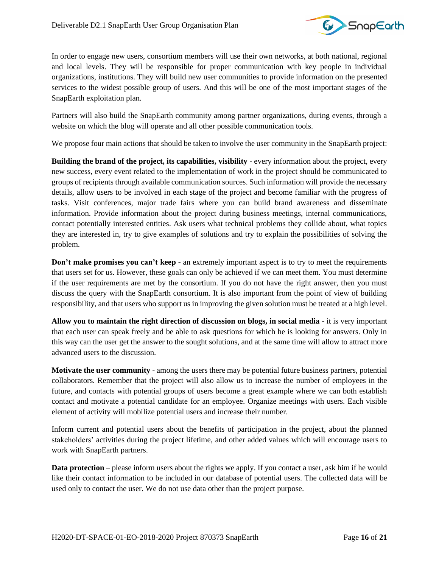

In order to engage new users, consortium members will use their own networks, at both national, regional and local levels. They will be responsible for proper communication with key people in individual organizations, institutions. They will build new user communities to provide information on the presented services to the widest possible group of users. And this will be one of the most important stages of the SnapEarth exploitation plan.

Partners will also build the SnapEarth community among partner organizations, during events, through a website on which the blog will operate and all other possible communication tools.

We propose four main actions that should be taken to involve the user community in the SnapEarth project:

**Building the brand of the project, its capabilities, visibility** - every information about the project, every new success, every event related to the implementation of work in the project should be communicated to groups of recipients through available communication sources. Such information will provide the necessary details, allow users to be involved in each stage of the project and become familiar with the progress of tasks. Visit conferences, major trade fairs where you can build brand awareness and disseminate information. Provide information about the project during business meetings, internal communications, contact potentially interested entities. Ask users what technical problems they collide about, what topics they are interested in, try to give examples of solutions and try to explain the possibilities of solving the problem.

**Don't make promises you can't keep** - an extremely important aspect is to try to meet the requirements that users set for us. However, these goals can only be achieved if we can meet them. You must determine if the user requirements are met by the consortium. If you do not have the right answer, then you must discuss the query with the SnapEarth consortium. It is also important from the point of view of building responsibility, and that users who support us in improving the given solution must be treated at a high level.

**Allow you to maintain the right direction of discussion on blogs, in social media** - it is very important that each user can speak freely and be able to ask questions for which he is looking for answers. Only in this way can the user get the answer to the sought solutions, and at the same time will allow to attract more advanced users to the discussion.

**Motivate the user community** - among the users there may be potential future business partners, potential collaborators. Remember that the project will also allow us to increase the number of employees in the future, and contacts with potential groups of users become a great example where we can both establish contact and motivate a potential candidate for an employee. Organize meetings with users. Each visible element of activity will mobilize potential users and increase their number.

Inform current and potential users about the benefits of participation in the project, about the planned stakeholders' activities during the project lifetime, and other added values which will encourage users to work with SnapEarth partners.

**Data protection** – please inform users about the rights we apply. If you contact a user, ask him if he would like their contact information to be included in our database of potential users. The collected data will be used only to contact the user. We do not use data other than the project purpose.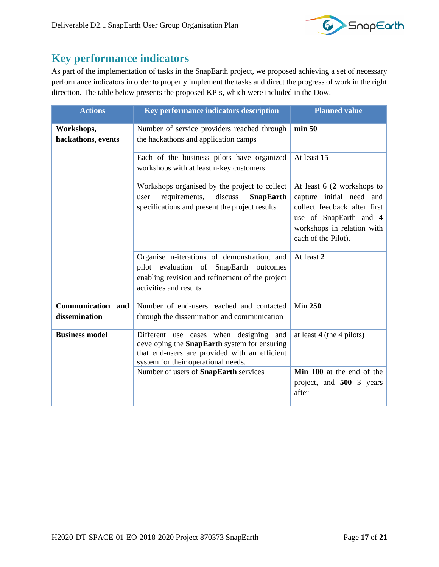

### <span id="page-16-0"></span>**Key performance indicators**

As part of the implementation of tasks in the SnapEarth project, we proposed achieving a set of necessary performance indicators in order to properly implement the tasks and direct the progress of work in the right direction. The table below presents the proposed KPIs, which were included in the Dow.

| <b>Actions</b>                            | Key performance indicators description                                                                                                                                                   | <b>Planned value</b>                                                                                                                                                   |
|-------------------------------------------|------------------------------------------------------------------------------------------------------------------------------------------------------------------------------------------|------------------------------------------------------------------------------------------------------------------------------------------------------------------------|
| Workshops,<br>hackathons, events          | Number of service providers reached through<br>the hackathons and application camps                                                                                                      | min 50                                                                                                                                                                 |
|                                           | Each of the business pilots have organized<br>workshops with at least n-key customers.                                                                                                   | At least 15                                                                                                                                                            |
|                                           | Workshops organised by the project to collect<br>requirements,<br>discuss<br><b>SnapEarth</b><br>user<br>specifications and present the project results                                  | At least $6(2$ workshops to<br>capture initial need and<br>collect feedback after first<br>use of SnapEarth and 4<br>workshops in relation with<br>each of the Pilot). |
|                                           | Organise n-iterations of demonstration, and<br>pilot evaluation of SnapEarth outcomes<br>enabling revision and refinement of the project<br>activities and results.                      | At least 2                                                                                                                                                             |
| <b>Communication</b> and<br>dissemination | Number of end-users reached and contacted<br>through the dissemination and communication                                                                                                 | <b>Min 250</b>                                                                                                                                                         |
| <b>Business model</b>                     | Different use cases when designing<br>and<br>developing the <b>SnapEarth</b> system for ensuring<br>that end-users are provided with an efficient<br>system for their operational needs. | at least $4$ (the 4 pilots)                                                                                                                                            |
|                                           | Number of users of SnapEarth services                                                                                                                                                    | Min 100 at the end of the<br>project, and 500 3 years<br>after                                                                                                         |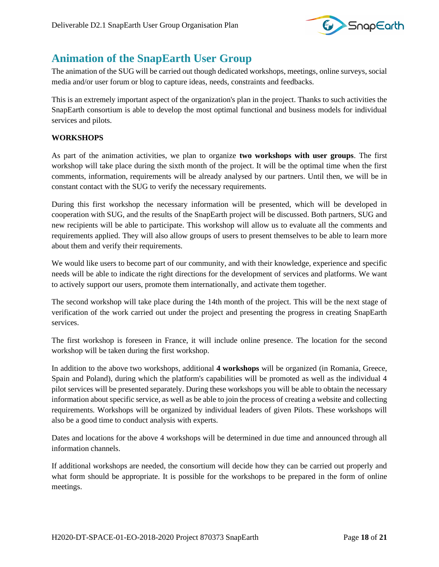

### <span id="page-17-0"></span>**Animation of the SnapEarth User Group**

The animation of the SUG will be carried out though dedicated workshops, meetings, online surveys, social media and/or user forum or blog to capture ideas, needs, constraints and feedbacks.

This is an extremely important aspect of the organization's plan in the project. Thanks to such activities the SnapEarth consortium is able to develop the most optimal functional and business models for individual services and pilots.

#### **WORKSHOPS**

As part of the animation activities, we plan to organize **two workshops with user groups**. The first workshop will take place during the sixth month of the project. It will be the optimal time when the first comments, information, requirements will be already analysed by our partners. Until then, we will be in constant contact with the SUG to verify the necessary requirements.

During this first workshop the necessary information will be presented, which will be developed in cooperation with SUG, and the results of the SnapEarth project will be discussed. Both partners, SUG and new recipients will be able to participate. This workshop will allow us to evaluate all the comments and requirements applied. They will also allow groups of users to present themselves to be able to learn more about them and verify their requirements.

We would like users to become part of our community, and with their knowledge, experience and specific needs will be able to indicate the right directions for the development of services and platforms. We want to actively support our users, promote them internationally, and activate them together.

The second workshop will take place during the 14th month of the project. This will be the next stage of verification of the work carried out under the project and presenting the progress in creating SnapEarth services.

The first workshop is foreseen in France, it will include online presence. The location for the second workshop will be taken during the first workshop.

In addition to the above two workshops, additional **4 workshops** will be organized (in Romania, Greece, Spain and Poland), during which the platform's capabilities will be promoted as well as the individual 4 pilot services will be presented separately. During these workshops you will be able to obtain the necessary information about specific service, as well as be able to join the process of creating a website and collecting requirements. Workshops will be organized by individual leaders of given Pilots. These workshops will also be a good time to conduct analysis with experts.

Dates and locations for the above 4 workshops will be determined in due time and announced through all information channels.

If additional workshops are needed, the consortium will decide how they can be carried out properly and what form should be appropriate. It is possible for the workshops to be prepared in the form of online meetings.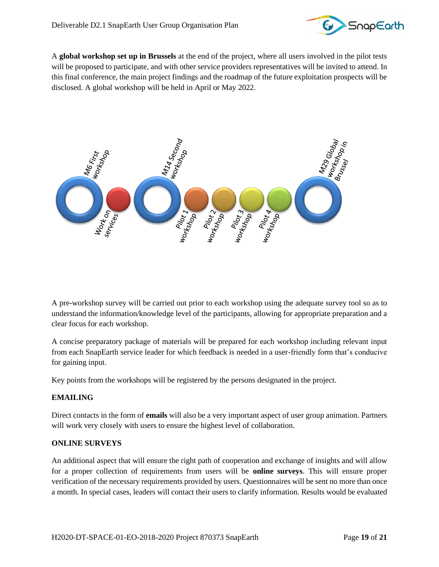

A **global workshop set up in Brussels** at the end of the project, where all users involved in the pilot tests will be proposed to participate, and with other service providers representatives will be invited to attend. In this final conference, the main project findings and the roadmap of the future exploitation prospects will be disclosed. A global workshop will be held in April or May 2022.



A pre-workshop survey will be carried out prior to each workshop using the adequate survey tool so as to understand the information/knowledge level of the participants, allowing for appropriate preparation and a clear focus for each workshop.

A concise preparatory package of materials will be prepared for each workshop including relevant input from each SnapEarth service leader for which feedback is needed in a user-friendly form that's conducive for gaining input.

Key points from the workshops will be registered by the persons designated in the project.

#### **EMAILING**

Direct contacts in the form of **emails** will also be a very important aspect of user group animation. Partners will work very closely with users to ensure the highest level of collaboration.

#### **ONLINE SURVEYS**

An additional aspect that will ensure the right path of cooperation and exchange of insights and will allow for a proper collection of requirements from users will be **online surveys**. This will ensure proper verification of the necessary requirements provided by users. Questionnaires will be sent no more than once a month. In special cases, leaders will contact their users to clarify information. Results would be evaluated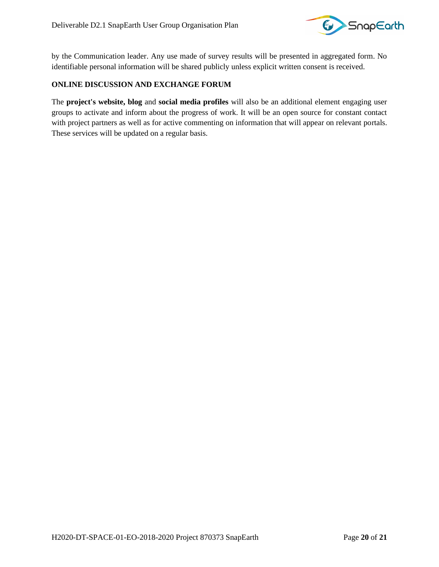

by the Communication leader. Any use made of survey results will be presented in aggregated form. No identifiable personal information will be shared publicly unless explicit written consent is received.

#### **ONLINE DISCUSSION AND EXCHANGE FORUM**

The **project's website, blog** and **social media profiles** will also be an additional element engaging user groups to activate and inform about the progress of work. It will be an open source for constant contact with project partners as well as for active commenting on information that will appear on relevant portals. These services will be updated on a regular basis.